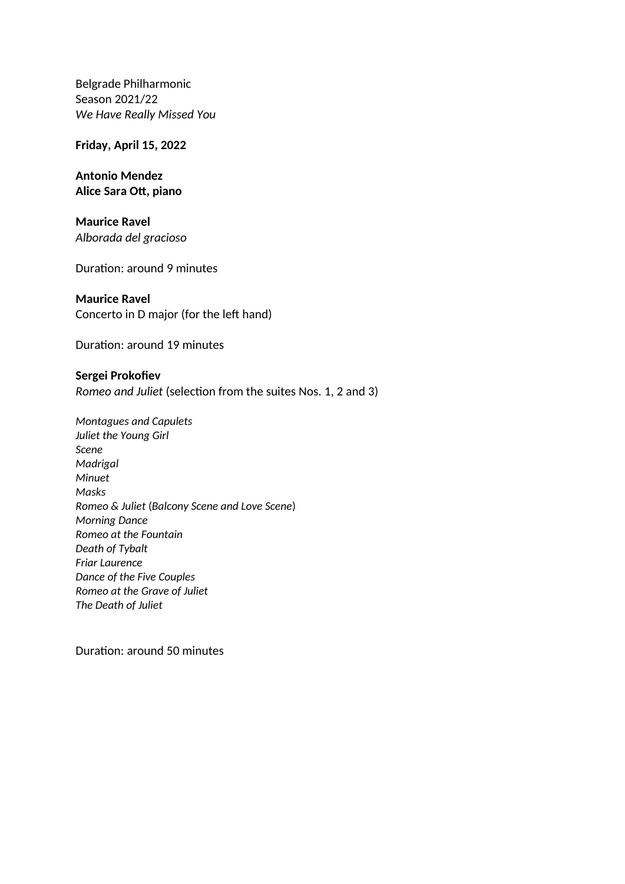Belgrade Philharmonic Season 2021/22 *We Have Really Missed You* 

## **Friday, April 15, 2022**

**Antonio Mendez Alice Sara Ott, piano**

**Maurice Ravel** *Alborada del grаcioso*

Duration: around 9 minutes

## **Maurice Ravel**

Concerto in D major (for the left hand)

Duration: around 19 minutes

**Sergei Prokofiev** *Romeo and Juliet* (selection from the suites Nos. 1, 2 and 3)

*Montagues and Capulets Juliet the Young Girl Scene Madrigal Minuet Masks Romeo & Juliet* (*Balcony Scene and Love Scene*) *Morning Dance Romeo at the Fountain Death of Tybalt Friar Laurence Dance of the Five Couples Romeo at the Grave of Juliet The Death of Juliet*

Duration: around 50 minutes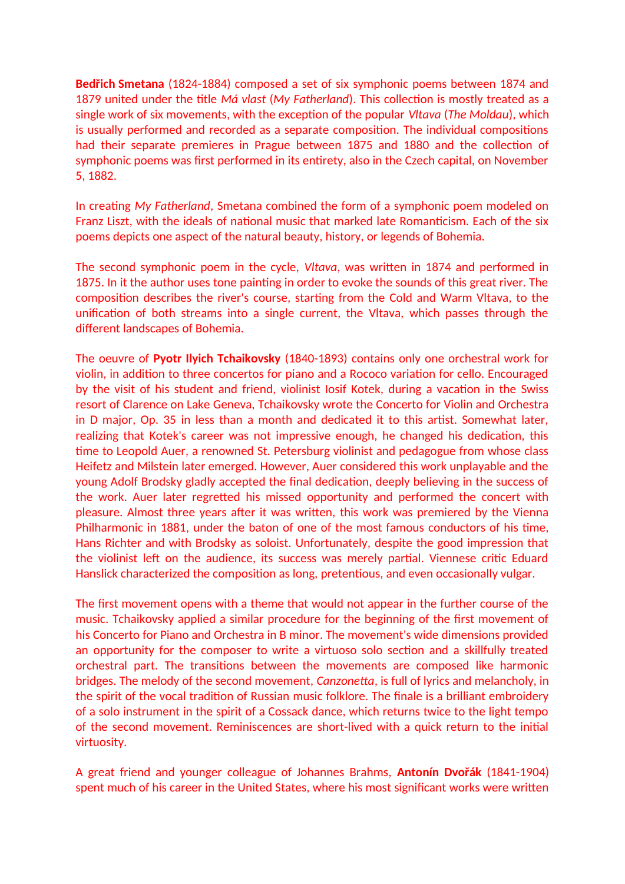**Bedřich Smetana** (1824-1884) composed a set of six symphonic poems between 1874 and 1879 united under the title *Má vlast* (*My Fatherland*). This collection is mostly treated as a single work of six movements, with the exception of the popular *Vltava* (*The Moldau*), which is usually performed and recorded as a separate composition. The individual compositions had their separate premieres in Prague between 1875 and 1880 and the collection of symphonic poems was first performed in its entirety, also in the Czech capital, on November 5, 1882.

In creating *My Fatherland*, Smetana combined the form of a symphonic poem modeled on Franz Liszt, with the ideals of national music that marked late Romanticism. Each of the six poems depicts one aspect of the natural beauty, history, or legends of Bohemia.

The second symphonic poem in the cycle, *Vltava*, was written in 1874 and performed in 1875. In it the author uses tone painting in order to evoke the sounds of this great river. The composition describes the river's course, starting from the Cold and Warm Vltava, to the unification of both streams into a single current, the Vltava, which passes through the different landscapes of Bohemia.

The oeuvre of **Pyotr Ilyich Tchaikovsky** (1840-1893) contains only one orchestral work for violin, in addition to three concertos for piano and a Rococo variation for cello. Encouraged by the visit of his student and friend, violinist Iosif Kotek, during a vacation in the Swiss resort of Clarence on Lake Geneva, Tchaikovsky wrote the Concerto for Violin and Orchestra in D major, Op. 35 in less than a month and dedicated it to this artist. Somewhat later, realizing that Kotek's career was not impressive enough, he changed his dedication, this time to Leopold Auer, a renowned St. Petersburg violinist and pedagogue from whose class Heifetz and Milstein later emerged. However, Auer considered this work unplayable and the young Adolf Brodsky gladly accepted the final dedication, deeply believing in the success of the work. Auer later regretted his missed opportunity and performed the concert with pleasure. Almost three years after it was written, this work was premiered by the Vienna Philharmonic in 1881, under the baton of one of the most famous conductors of his time, Hans Richter and with Brodsky as soloist. Unfortunately, despite the good impression that the violinist left on the audience, its success was merely partial. Viennese critic Eduard Hanslick characterized the composition as long, pretentious, and even occasionally vulgar.

The first movement opens with a theme that would not appear in the further course of the music. Tchaikovsky applied a similar procedure for the beginning of the first movement of his Concerto for Piano and Orchestra in B minor. The movement's wide dimensions provided an opportunity for the composer to write a virtuoso solo section and a skillfully treated orchestral part. The transitions between the movements are composed like harmonic bridges. The melody of the second movement, *Canzonetta*, is full of lyrics and melancholy, in the spirit of the vocal tradition of Russian music folklore. The finale is a brilliant embroidery of a solo instrument in the spirit of a Cossack dance, which returns twice to the light tempo of the second movement. Reminiscences are short-lived with a quick return to the initial virtuosity.

A great friend and younger colleague of Johannes Brahms, **Antonín Dvořák** (1841-1904) spent much of his career in the United States, where his most significant works were written